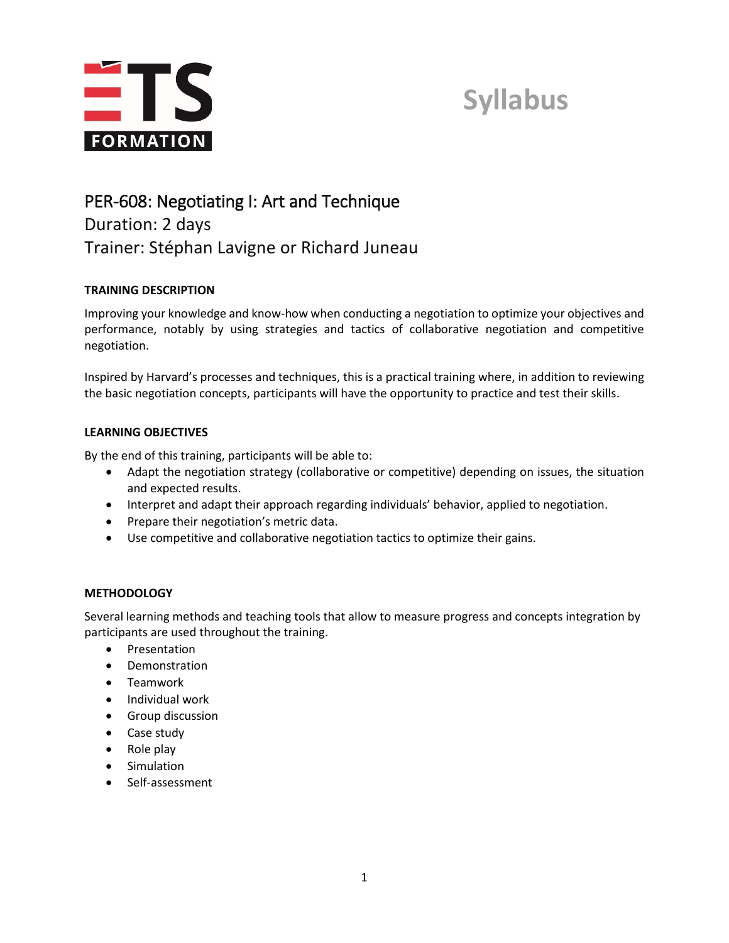

### **Syllabus**

### PER-608: Negotiating I: Art and Technique Duration: 2 days Trainer: Stéphan Lavigne or Richard Juneau

### **TRAINING DESCRIPTION**

Improving your knowledge and know-how when conducting a negotiation to optimize your objectives and performance, notably by using strategies and tactics of collaborative negotiation and competitive negotiation.

Inspired by Harvard's processes and techniques, this is a practical training where, in addition to reviewing the basic negotiation concepts, participants will have the opportunity to practice and test their skills.

### **LEARNING OBJECTIVES**

By the end of this training, participants will be able to:

- Adapt the negotiation strategy (collaborative or competitive) depending on issues, the situation and expected results.
- Interpret and adapt their approach regarding individuals' behavior, applied to negotiation.
- Prepare their negotiation's metric data.
- Use competitive and collaborative negotiation tactics to optimize their gains.

### **METHODOLOGY**

Several learning methods and teaching tools that allow to measure progress and concepts integration by participants are used throughout the training.

- Presentation
- Demonstration
- Teamwork
- Individual work
- **•** Group discussion
- Case study
- Role play
- **•** Simulation
- Self-assessment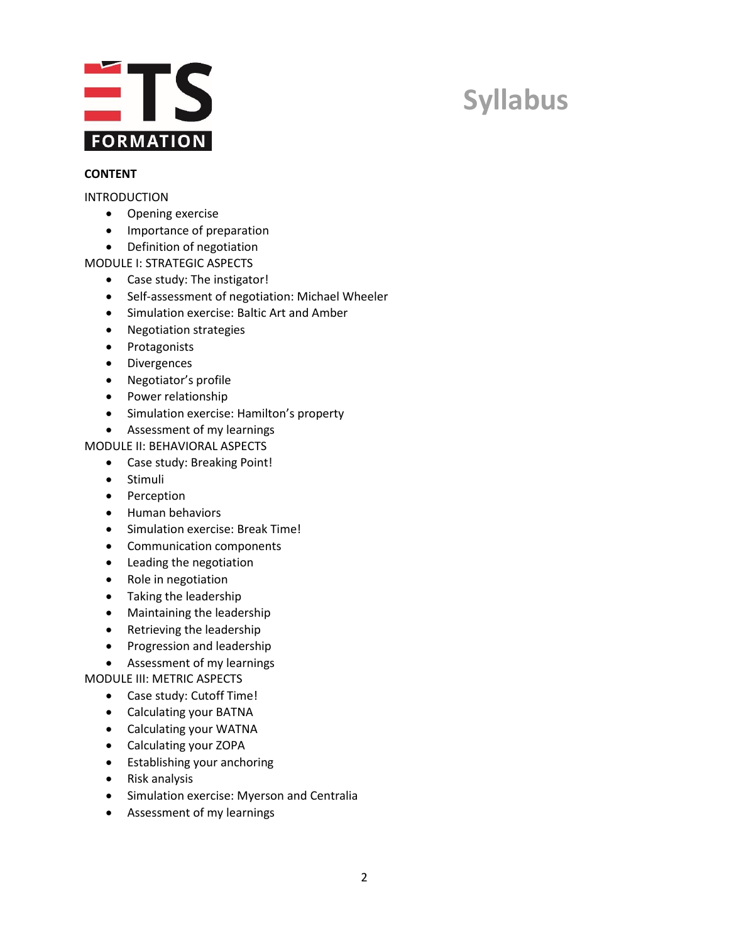

# **Syllabus**

#### **CONTENT**

#### INTRODUCTION

- Opening exercise
- Importance of preparation
- Definition of negotiation
- MODULE I: STRATEGIC ASPECTS
	- Case study: The instigator!
	- Self-assessment of negotiation: Michael Wheeler
	- Simulation exercise: Baltic Art and Amber
	- Negotiation strategies
	- Protagonists
	- **•** Divergences
	- Negotiator's profile
	- Power relationship
	- Simulation exercise: Hamilton's property
	- Assessment of my learnings

MODULE II: BEHAVIORAL ASPECTS

- Case study: Breaking Point!
- Stimuli
- Perception
- Human behaviors
- Simulation exercise: Break Time!
- Communication components
- Leading the negotiation
- Role in negotiation
- Taking the leadership
- Maintaining the leadership
- Retrieving the leadership
- Progression and leadership
- Assessment of my learnings

MODULE III: METRIC ASPECTS

- Case study: Cutoff Time!
- Calculating your BATNA
- Calculating your WATNA
- Calculating your ZOPA
- Establishing your anchoring
- Risk analysis
- Simulation exercise: Myerson and Centralia
- Assessment of my learnings